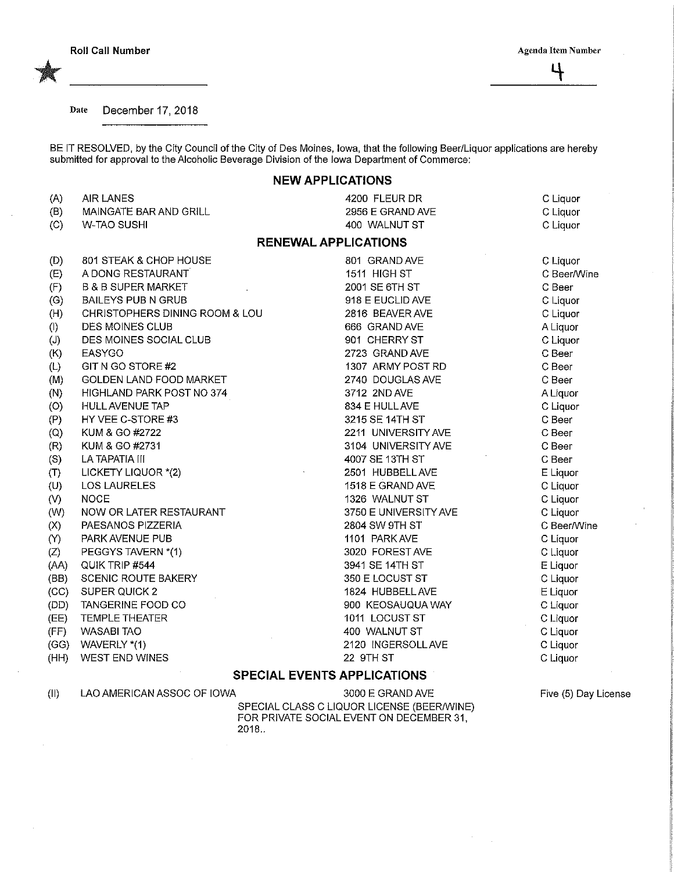4

Date December 17, 2018

BE IT RESOLVED, by the City Council of the City of Des Moines, Iowa, that the following Beer/Liquor applications are hereby submitted for approval to the Alcoholic Beverage Division of the Iowa Department of Commerce:

## NEW APPLICATIONS

| (A)                   | <b>AIR LANES</b>                   | 4200 FLEUR DR         | C Liquor    |
|-----------------------|------------------------------------|-----------------------|-------------|
| (B)                   | MAINGATE BAR AND GRILL             | 2956 E GRAND AVE      | C Liquor    |
| (C)                   | <b>W-TAO SUSHI</b>                 | 400 WALNUT ST         | C Liquor    |
|                       | <b>RENEWAL APPLICATIONS</b>        |                       |             |
| (D)                   | 801 STEAK & CHOP HOUSE             | 801 GRAND AVE         | C Liquor    |
| (E)                   | A DONG RESTAURANT                  | 1511 HIGH ST          | C Beer/Wine |
| (F)                   | <b>B &amp; B SUPER MARKET</b>      | 2001 SE 6TH ST        | C Beer      |
| (G)                   | <b>BAILEYS PUB N GRUB</b>          | 918 E EUCLID AVE      | C Liquor    |
| (H)                   | CHRISTOPHERS DINING ROOM & LOU     | 2816 BEAVER AVE       | C Liquor    |
| (1)                   | DES MOINES CLUB                    | 666 GRAND AVE         | A Liquor    |
| (J)                   | DES MOINES SOCIAL CLUB             | 901 CHERRY ST         | C Liquor    |
| (K)                   | EASYGO                             | 2723 GRAND AVE        | C Beer      |
| (L)                   | GIT N GO STORE #2                  | 1307 ARMY POST RD     | C Beer      |
| (M)                   | <b>GOLDEN LAND FOOD MARKET</b>     | 2740 DOUGLAS AVE      | C Beer      |
| (N)                   | HIGHLAND PARK POST NO 374          | 3712 2ND AVE          | A Liquor    |
| (0)                   | <b>HULL AVENUE TAP</b>             | 834 E HULL AVE        | C Liquor    |
| (P)                   | HY VEE C-STORE #3                  | 3215 SE 14TH ST       | C Beer      |
| (Q)                   | KUM & GO #2722                     | 2211 UNIVERSITY AVE   | C Beer      |
| (R)                   | KUM & GO #2731                     | 3104 UNIVERSITY AVE   | C Beer      |
| (S)                   | LA TAPATIA III                     | 4007 SE 13TH ST       | C Beer      |
| (T)                   | LICKETY LIQUOR *(2)                | 2501 HUBBELL AVE      | E Liquor    |
| (U)                   | <b>LOS LAURELES</b>                | 1518 E GRAND AVE      | C Liquor    |
| (V)                   | <b>NOCE</b>                        | 1326 WALNUT ST        | C Liquor    |
| (W)                   | NOW OR LATER RESTAURANT            | 3750 E UNIVERSITY AVE | C Liquor    |
| $\left( \chi \right)$ | PAESANOS PIZZERIA                  | 2804 SW 9TH ST        | C Beer/Wine |
| $\infty$              | PARK AVENUE PUB                    | 1101 PARK AVE         | C Liquor    |
| (Z)                   | PEGGYS TAVERN *(1)                 | 3020 FOREST AVE       | C Liquor    |
| (AA)                  | QUIK TRIP #544                     | 3941 SE 14TH ST       | E Liquor    |
| (BB)                  | <b>SCENIC ROUTE BAKERY</b>         | 350 E LOCUST ST       | C Liquor    |
| (CC)                  | SUPER QUICK 2                      | 1824 HUBBELL AVE      | E Liquor    |
| (DD)                  | TANGERINE FOOD CO                  | 900 KEOSAUQUA WAY     | C Liquor    |
| (EE)                  | <b>TEMPLE THEATER</b>              | 1011 LOCUST ST        | C Liquor    |
| (FF)                  | <b>WASABI TAO</b>                  | 400 WALNUT ST         | C Liquor    |
| (GG)                  | WAVERLY *(1)                       | 2120 INGERSOLL AVE    | C Liquor    |
| (HH)                  | WEST END WINES                     | 22 9TH ST             | C Liquor    |
|                       | <b>SPECIAL EVENTS APPLICATIONS</b> |                       |             |

(II) LAO AMERICAN ASSOC OF IOWA

3000 E GRAND AVE SPECIAL CLASS C LIQUOR LICENSE (BEER/WINE) FOR PRIVATE SOCIAL EVENT ON DECEMBER 31, 2018..

Five (5) Day License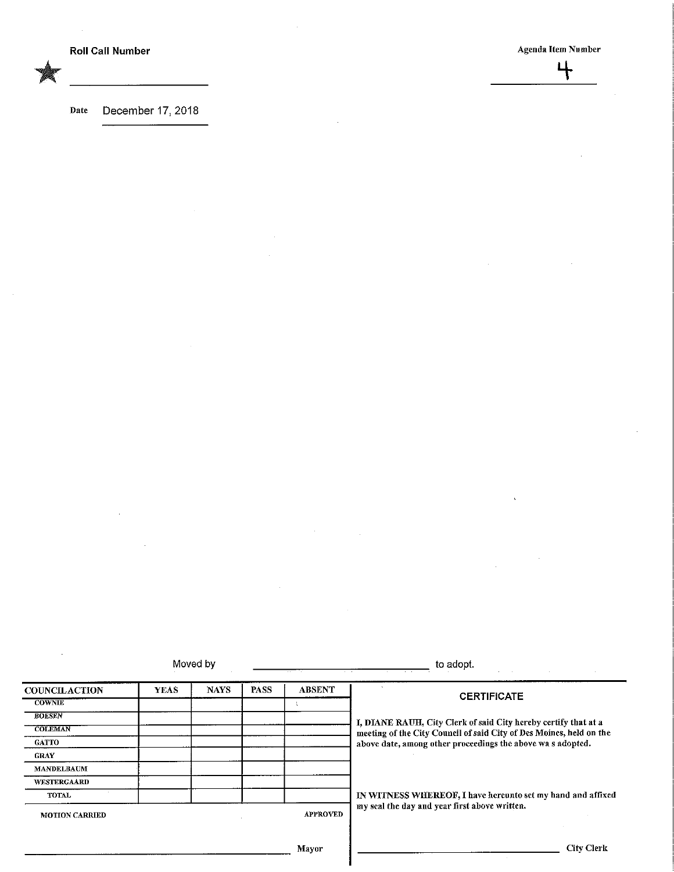$\bar{\alpha}$ 

 $\sim$ 

 $\ddot{\phantom{a}}$ 

Date December 17, 2018

|                                 | Moved by    |                 | to adopt.   |                                               |                                                                                                                                        |  |
|---------------------------------|-------------|-----------------|-------------|-----------------------------------------------|----------------------------------------------------------------------------------------------------------------------------------------|--|
| <b>COUNCILACTION</b>            | <b>YEAS</b> | <b>NAYS</b>     | <b>PASS</b> | <b>ABSENT</b>                                 | <b>CERTIFICATE</b>                                                                                                                     |  |
| <b>COWNIE</b>                   |             |                 |             |                                               |                                                                                                                                        |  |
| <b>BOESEN</b><br><b>COLEMAN</b> |             |                 |             |                                               |                                                                                                                                        |  |
|                                 |             |                 |             |                                               | I, DIANE RAUH, City Clerk of said City hereby certify that at a<br>meeting of the City Council of said City of Des Moines, held on the |  |
| <b>GATTO</b>                    |             |                 |             |                                               | above date, among other proceedings the above was adopted.                                                                             |  |
| <b>GRAY</b>                     |             |                 |             |                                               |                                                                                                                                        |  |
| <b>MANDELBAUM</b>               |             |                 |             |                                               |                                                                                                                                        |  |
| <b>WESTERGAARD</b>              |             |                 |             |                                               |                                                                                                                                        |  |
| <b>TOTAL</b>                    |             |                 |             |                                               | IN WITNESS WHEREOF, I have hereunto set my hand and affixed                                                                            |  |
| <b>MOTION CARRIED</b>           |             | <b>APPROVED</b> |             | my seal the day and year first above written. |                                                                                                                                        |  |